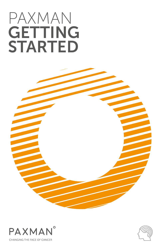# PAXMAN **GETTING** STARTED





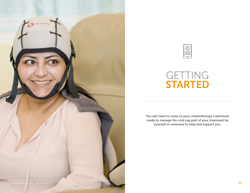



## GETTING STARTED

You will need to come to your chemotherapy treatments ready to manage the cold cap part of your treatment by yourself or someone to help and support you.

 $\circ$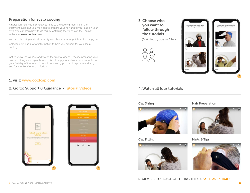## Preparation for scalp cooling

A nurse will help you connect your cap to the cooling machine in the treatment suite, but you will need to prepare your hair and fit your cap on your own. You can learn how to do this by watching the videos on the Paxman website at www.coldcap.com

You can also bring a friend or family member to your appointment to help you.

Coldcap.com has a lot of information to help you prepare for your scalp cooling.

Get to know the website and watch the tutorial videos. Practice preparing your hair and fitting your cap at home. This will help you feel more comfortable on your first day of treatment. You will be wearing your cold cap before, during and for a while after your infusion.

### 1. visit: www.coldcap.com

### 2. Go to: Support & Guidance > Tutorial Videos



3. Choose who you want to follow through the tutorials

(Mai, Jaqui, Joe or Cleo)





## 4. Watch all four tutorials

#### Cap Sizing



#### Cap Fitting



Hair Preparation



Hints & Tips



#### REMEMBER TO PRACTICE FITTING THE CAP AT LEAST 3 TIMES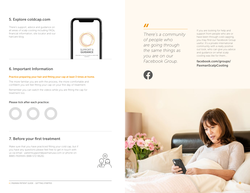## 5. Explore coldcap.com

There's support, advice and guidance on all areas of scalp cooling including FAQs, financial information, site locator and our haircare blog.



## 6. Important Information

#### Practice preparing your hair and fitting your cap at least 3 times at home.

The more familiar you are with the process, the more comfortable and confident you will feel fitting your cap on your first day of treatment.

Remember you can watch the videos while you are fitting the cap for treatment too.

#### Please tick after each practice:

## 7. Before your first treatment

Make sure that you have practiced fitting your cold cap, but if you have any questions please feel free to get in touch with us via email - patientsupport@paxmanusa.com or phone on 8885 PAXMAN (888-572-9626).



## $\boldsymbol{H}$

*There's a community of people who are going through the same things as you are on our Facebook Group.*



If you are looking for help and support from people who are or have been through cold capping, you may find our Facebook Group useful. It's a private international community with a really positive out look, who can give you advice and guidance on what scalp cooling was like for them...

#### facebook.com/groups/ PaxmanScalpCooling